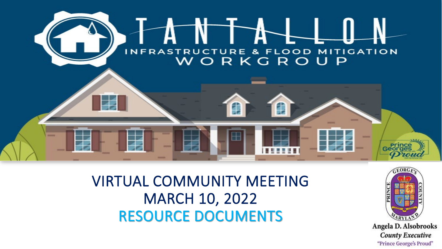

VIRTUAL COMMUNITY MEETING MARCH 10, 2022 RESOURCE DOCUMENTS

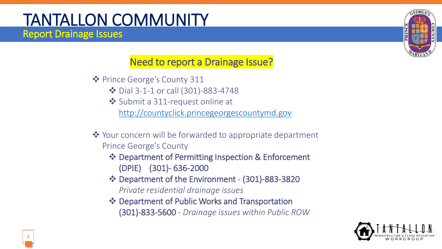#### TANTALLON COMMUNITY Report Drainage Issues

#### Need to report a Drainage Issue?

- Prince George's County 311
	- Dial 3-1-1 or call (301)-883-4748
	- ◆ Submit a 311-request online at [http://countyclick.princegeorgescountymd.gov](http://countyclick.princegeorgescountymd.gov/)
- ◆ Your concern will be forwarded to appropriate department Prince George's County
	- Department of Permitting Inspection & Enforcement (DPIE) (301)- 636-2000
	- Department of the Environment (301)-883-3820 *Private residential drainage issues*
	- Department of Public Works and Transportation (301)-833-5600 - *Drainage issues within Public ROW*



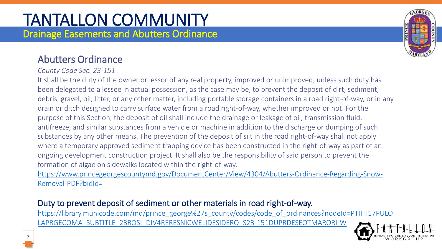#### TANTALLON COMMUNITY Drainage Easements and Abutters Ordinance

#### Abutters Ordinance

#### *County Code Sec. 23-151*

It shall be the duty of the owner or lessor of any real property, improved or unimproved, unless such duty has been delegated to a lessee in actual possession, as the case may be, to prevent the deposit of dirt, sediment, debris, gravel, oil, litter, or any other matter, including portable storage containers in a road right-of-way, or in any drain or ditch designed to carry surface water from a road right-of-way, whether improved or not. For the purpose of this Section, the deposit of oil shall include the drainage or leakage of oil, transmission fluid, antifreeze, and similar substances from a vehicle or machine in addition to the discharge or dumping of such substances by any other means. The prevention of the deposit of silt in the road right-of-way shall not apply where a temporary approved sediment trapping device has been constructed in the right-of-way as part of an ongoing development construction project. It shall also be the responsibility of said person to prevent the formation of algae on sidewalks located within the right-of-way.

[https://www.princegeorgescountymd.gov/DocumentCenter/View/4304/Abutters-Ordinance-Regarding-Snow-](https://www.princegeorgescountymd.gov/DocumentCenter/View/4304/Abutters-Ordinance-Regarding-Snow-Removal-PDF?bidId=)Removal-PDF?bidId=

#### Duty to prevent deposit of sediment or other materials in road right-of-way.

[https://library.municode.com/md/prince\\_george%27s\\_county/codes/code\\_of\\_ordinances?nodeId=PTIITI17PULO](https://library.municode.com/md/prince_george%27s_county/codes/code_of_ordinances?nodeId=PTIITI17PULOLAPRGECOMA_SUBTITLE_23ROSI_DIV4RERESNICWELIDESIDERO_S23-151DUPRDESEOTMARORI-W) LAPRGECOMA\_SUBTITLE\_23ROSI\_DIV4RERESNICWELIDESIDERO\_S23-151DUPRDESEOTMARORI-W





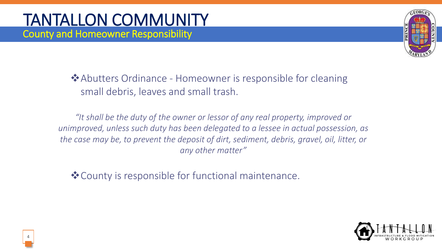

 $\triangle$  Abutters Ordinance - Homeowner is responsible for cleaning small debris, leaves and small trash.

*"It shall be the duty of the owner or lessor of any real property, improved or unimproved, unless such duty has been delegated to a lessee in actual possession, as the case may be, to prevent the deposit of dirt, sediment, debris, gravel, oil, litter, or any other matter"*

County is responsible for functional maintenance.

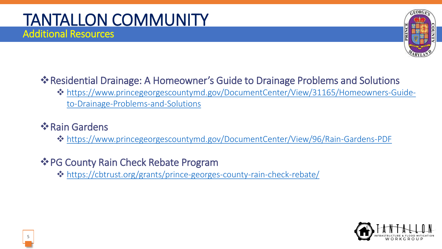#### **Example 15 Presidential Drainage: A Homeowner's Guide to Drainage Problems and Solutions**

 [https://www.princegeorgescountymd.gov/DocumentCenter/View/31165/Homeowners-Guide](https://www.princegeorgescountymd.gov/DocumentCenter/View/31165/Homeowners-Guide-to-Drainage-Problems-and-Solutions)to-Drainage-Problems-and-Solutions

#### **❖ Rain Gardens**

<https://www.princegeorgescountymd.gov/DocumentCenter/View/96/Rain-Gardens-PDF>

#### $\triangle$  **PG County Rain Check Rebate Program**

<https://cbtrust.org/grants/prince-georges-county-rain-check-rebate/>

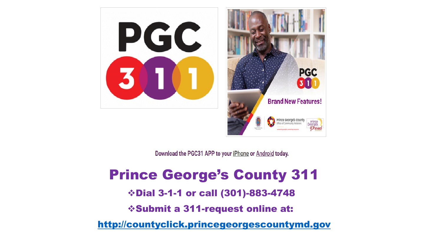



**PGC** 

Download the PGC31 APP to your iPhone or Android today.

### Prince George's County 311

Dial 3-1-1 or call (301)-883-4748

Submit a 311-request online at:

[http://countyclick.princegeorgescountymd.gov](http://countyclick.princegeorgescountymd.gov/)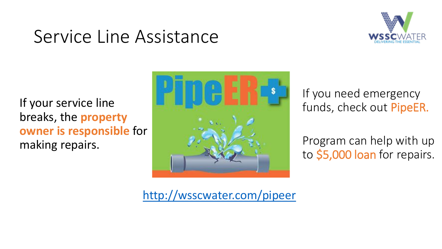## Service Line Assistance



If your service line breaks, the **property owner is responsible** for making repairs.



If you need emergency funds, check out PipeER.

Program can help with up to \$5,000 loan for repairs.

<http://wsscwater.com/pipeer>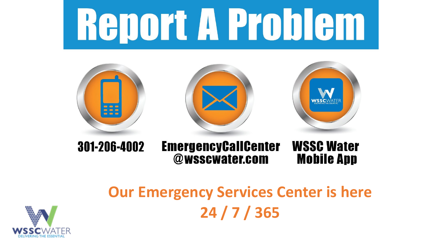# **Report A Problem**



@wsscwater.com

## **Our Emergency Services Center is here 24 / 7 / 365**

**Mobile App**